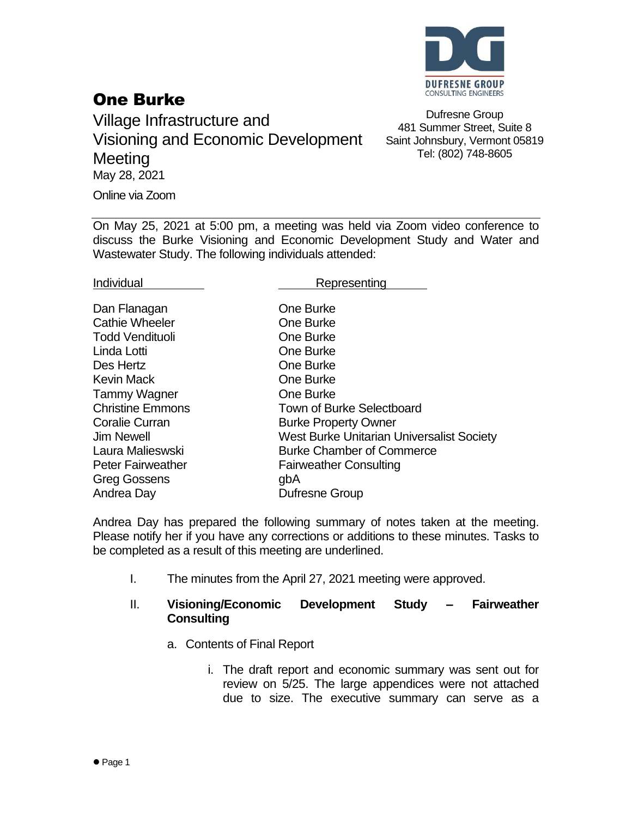

# One Burke

Village Infrastructure and Visioning and Economic Development **Meeting** May 28, 2021 Online via Zoom

Dufresne Group 481 Summer Street, Suite 8 Saint Johnsbury, Vermont 05819 Tel: (802) 748-8605

On May 25, 2021 at 5:00 pm, a meeting was held via Zoom video conference to discuss the Burke Visioning and Economic Development Study and Water and Wastewater Study. The following individuals attended:

Individual **Representing** 

| Dan Flanagan             | One Burke                                        |
|--------------------------|--------------------------------------------------|
| <b>Cathie Wheeler</b>    | One Burke                                        |
| <b>Todd Vendituoli</b>   | One Burke                                        |
| Linda Lotti              | One Burke                                        |
| Des Hertz                | One Burke                                        |
| <b>Kevin Mack</b>        | One Burke                                        |
| <b>Tammy Wagner</b>      | One Burke                                        |
| <b>Christine Emmons</b>  | <b>Town of Burke Selectboard</b>                 |
| <b>Coralie Curran</b>    | <b>Burke Property Owner</b>                      |
| <b>Jim Newell</b>        | <b>West Burke Unitarian Universalist Society</b> |
| Laura Malieswski         | <b>Burke Chamber of Commerce</b>                 |
| <b>Peter Fairweather</b> | <b>Fairweather Consulting</b>                    |
| <b>Greg Gossens</b>      | gbA                                              |
| Andrea Day               | Dufresne Group                                   |

Andrea Day has prepared the following summary of notes taken at the meeting. Please notify her if you have any corrections or additions to these minutes. Tasks to be completed as a result of this meeting are underlined.

I. The minutes from the April 27, 2021 meeting were approved.

#### II. **Visioning/Economic Development Study – Fairweather Consulting**

- a. Contents of Final Report
	- i. The draft report and economic summary was sent out for review on 5/25. The large appendices were not attached due to size. The executive summary can serve as a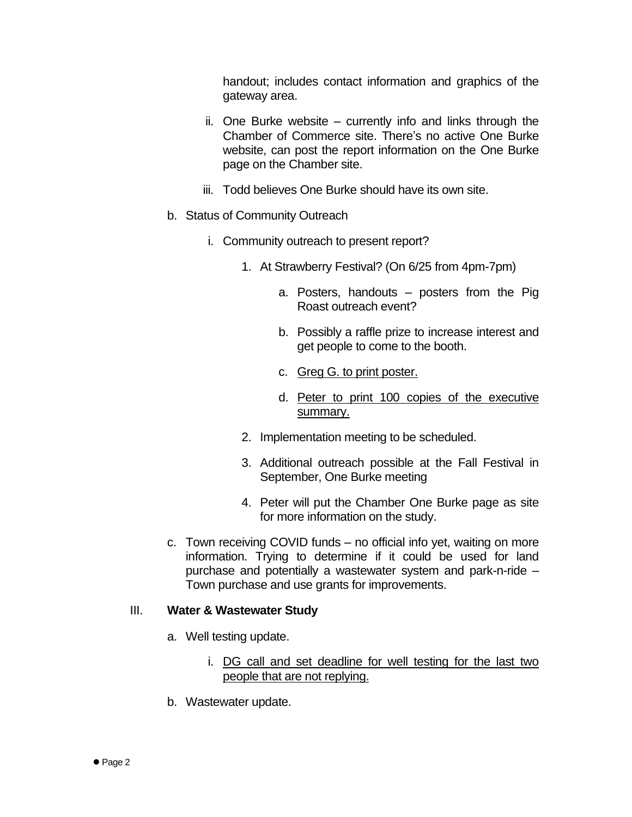handout; includes contact information and graphics of the gateway area.

- ii. One Burke website currently info and links through the Chamber of Commerce site. There's no active One Burke website, can post the report information on the One Burke page on the Chamber site.
- iii. Todd believes One Burke should have its own site.
- b. Status of Community Outreach
	- i. Community outreach to present report?
		- 1. At Strawberry Festival? (On 6/25 from 4pm-7pm)
			- a. Posters, handouts posters from the Pig Roast outreach event?
			- b. Possibly a raffle prize to increase interest and get people to come to the booth.
			- c. Greg G. to print poster.
			- d. Peter to print 100 copies of the executive summary.
		- 2. Implementation meeting to be scheduled.
		- 3. Additional outreach possible at the Fall Festival in September, One Burke meeting
		- 4. Peter will put the Chamber One Burke page as site for more information on the study.
- c. Town receiving COVID funds no official info yet, waiting on more information. Trying to determine if it could be used for land purchase and potentially a wastewater system and park-n-ride – Town purchase and use grants for improvements.

#### III. **Water & Wastewater Study**

- a. Well testing update.
	- i. DG call and set deadline for well testing for the last two people that are not replying.
- b. Wastewater update.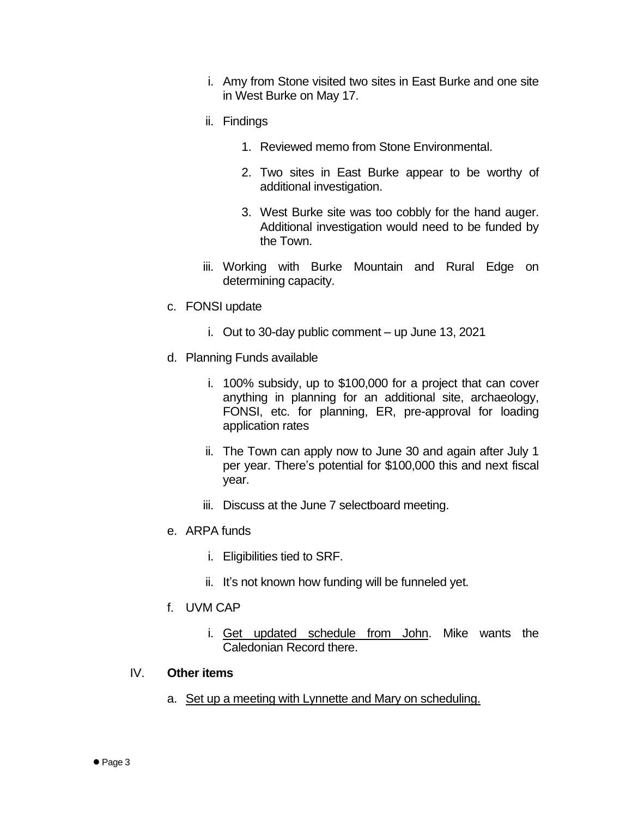- i. Amy from Stone visited two sites in East Burke and one site in West Burke on May 17.
- ii. Findings
	- 1. Reviewed memo from Stone Environmental.
	- 2. Two sites in East Burke appear to be worthy of additional investigation.
	- 3. West Burke site was too cobbly for the hand auger. Additional investigation would need to be funded by the Town.
- iii. Working with Burke Mountain and Rural Edge on determining capacity.
- c. FONSI update
	- i. Out to 30-day public comment up June 13, 2021
- d. Planning Funds available
	- i. 100% subsidy, up to \$100,000 for a project that can cover anything in planning for an additional site, archaeology, FONSI, etc. for planning, ER, pre-approval for loading application rates
	- ii. The Town can apply now to June 30 and again after July 1 per year. There's potential for \$100,000 this and next fiscal year.
	- iii. Discuss at the June 7 selectboard meeting.
- e. ARPA funds
	- i. Eligibilities tied to SRF.
	- ii. It's not known how funding will be funneled yet.
- f. UVM CAP
	- i. Get updated schedule from John. Mike wants the Caledonian Record there.

#### IV. **Other items**

a. Set up a meeting with Lynnette and Mary on scheduling.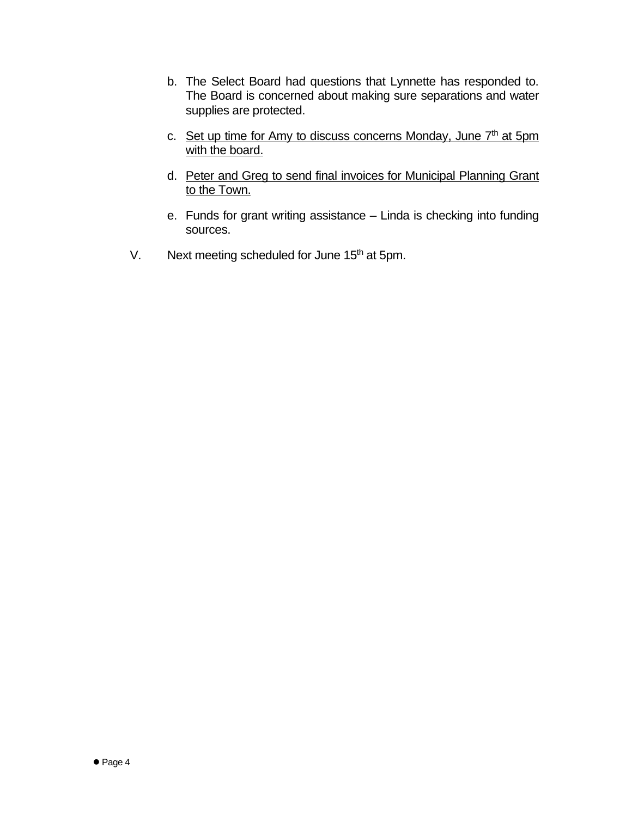- b. The Select Board had questions that Lynnette has responded to. The Board is concerned about making sure separations and water supplies are protected.
- c. Set up time for Amy to discuss concerns Monday, June 7<sup>th</sup> at 5pm with the board.
- d. Peter and Greg to send final invoices for Municipal Planning Grant to the Town.
- e. Funds for grant writing assistance Linda is checking into funding sources.
- V. Next meeting scheduled for June  $15<sup>th</sup>$  at 5pm.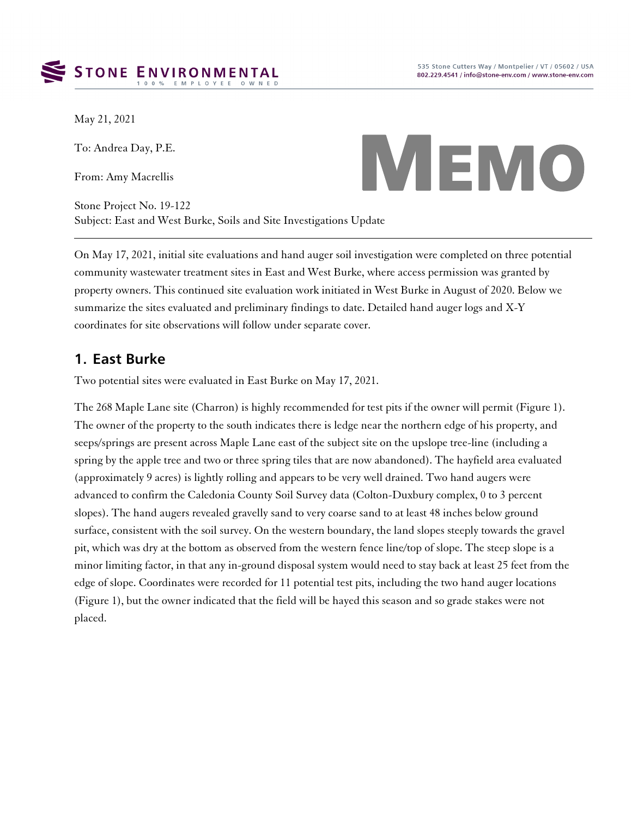

May 21, 2021

To: Andrea Day, P.E.

From: Amy Macrellis

Stone Project No. 19-122 Subject: East and West Burke, Soils and Site Investigations Update



On May 17, 2021, initial site evaluations and hand auger soil investigation were completed on three potential community wastewater treatment sites in East and West Burke, where access permission was granted by property owners. This continued site evaluation work initiated in West Burke in August of 2020. Below we summarize the sites evaluated and preliminary findings to date. Detailed hand auger logs and X-Y coordinates for site observations will follow under separate cover.

### **1. East Burke**

Two potential sites were evaluated in East Burke on May 17, 2021.

The 268 Maple Lane site (Charron) is highly recommended for test pits if the owner will permit (Figure 1). The owner of the property to the south indicates there is ledge near the northern edge of his property, and seeps/springs are present across Maple Lane east of the subject site on the upslope tree-line (including a spring by the apple tree and two or three spring tiles that are now abandoned). The hayfield area evaluated (approximately 9 acres) is lightly rolling and appears to be very well drained. Two hand augers were advanced to confirm the Caledonia County Soil Survey data (Colton-Duxbury complex, 0 to 3 percent slopes). The hand augers revealed gravelly sand to very coarse sand to at least 48 inches below ground surface, consistent with the soil survey. On the western boundary, the land slopes steeply towards the gravel pit, which was dry at the bottom as observed from the western fence line/top of slope. The steep slope is a minor limiting factor, in that any in-ground disposal system would need to stay back at least 25 feet from the edge of slope. Coordinates were recorded for 11 potential test pits, including the two hand auger locations (Figure 1), but the owner indicated that the field will be hayed this season and so grade stakes were not placed.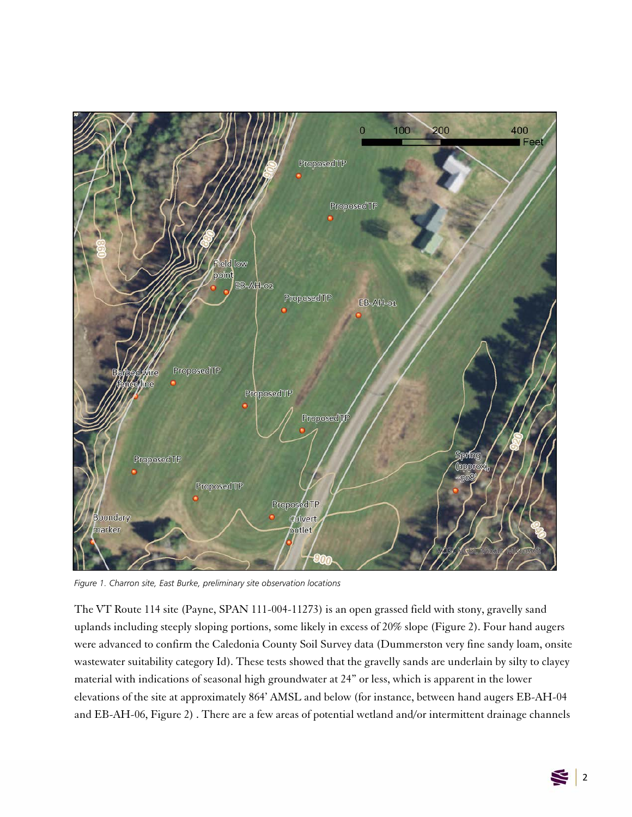

*Figure 1. Charron site, East Burke, preliminary site observation locations*

The VT Route 114 site (Payne, SPAN 111-004-11273) is an open grassed field with stony, gravelly sand uplands including steeply sloping portions, some likely in excess of 20% slope (Figure 2). Four hand augers were advanced to confirm the Caledonia County Soil Survey data (Dummerston very fine sandy loam, onsite wastewater suitability category Id). These tests showed that the gravelly sands are underlain by silty to clayey material with indications of seasonal high groundwater at 24" or less, which is apparent in the lower elevations of the site at approximately 864' AMSL and below (for instance, between hand augers EB-AH-04 and EB-AH-06, Figure 2) . There are a few areas of potential wetland and/or intermittent drainage channels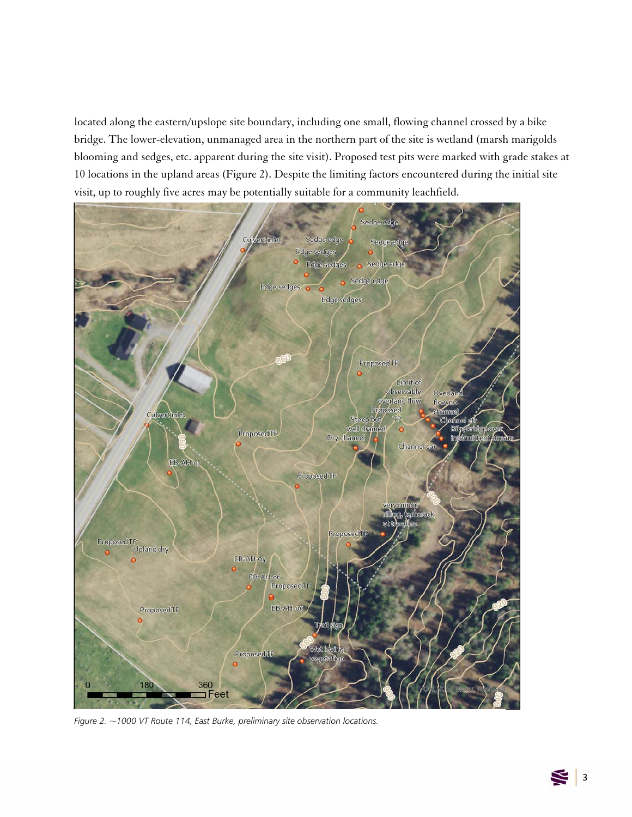located along the eastern/upslope site boundary, including one small, flowing channel crossed by a bike bridge. The lower-elevation, unmanaged area in the northern part of the site is wetland (marsh marigolds blooming and sedges, etc. apparent during the site visit). Proposed test pits were marked with grade stakes at 10 locations in the upland areas (Figure 2). Despite the limiting factors encountered during the initial site visit, up to roughly five acres may be potentially suitable for a community leachfield.



*Figure 2. ~1000 VT Route 114, East Burke, preliminary site observation locations.*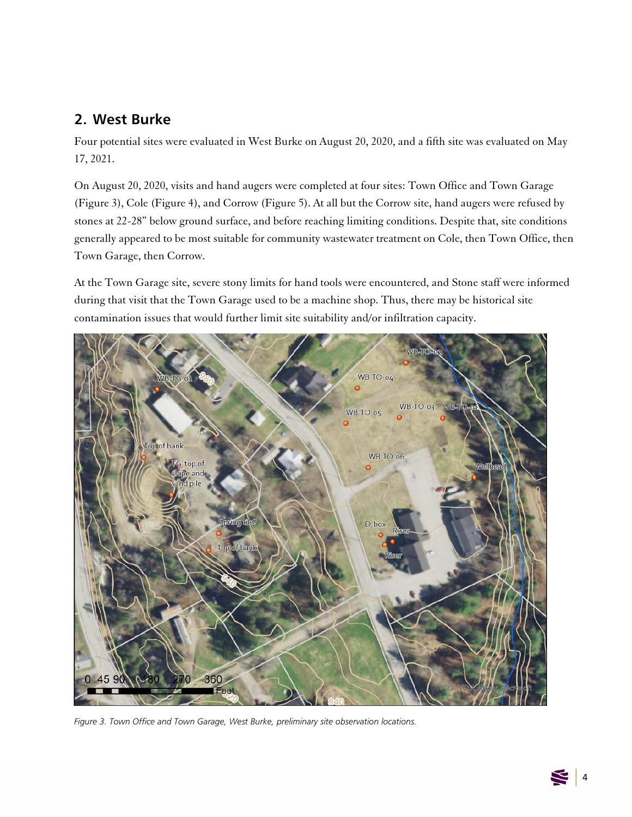## **2. West Burke**

Four potential sites were evaluated in West Burke on August 20, 2020, and a fifth site was evaluated on May 17, 2021.

On August 20, 2020, visits and hand augers were completed at four sites: Town Office and Town Garage (Figure 3), Cole (Figure 4), and Corrow (Figure 5). At all but the Corrow site, hand augers were refused by stones at 22-28" below ground surface, and before reaching limiting conditions. Despite that, site conditions generally appeared to be most suitable for community wastewater treatment on Cole, then Town Office, then Town Garage, then Corrow.

At the Town Garage site, severe stony limits for hand tools were encountered, and Stone staff were informed during that visit that the Town Garage used to be a machine shop. Thus, there may be historical site contamination issues that would further limit site suitability and/or infiltration capacity.



*Figure 3. Town Office and Town Garage, West Burke, preliminary site observation locations.*